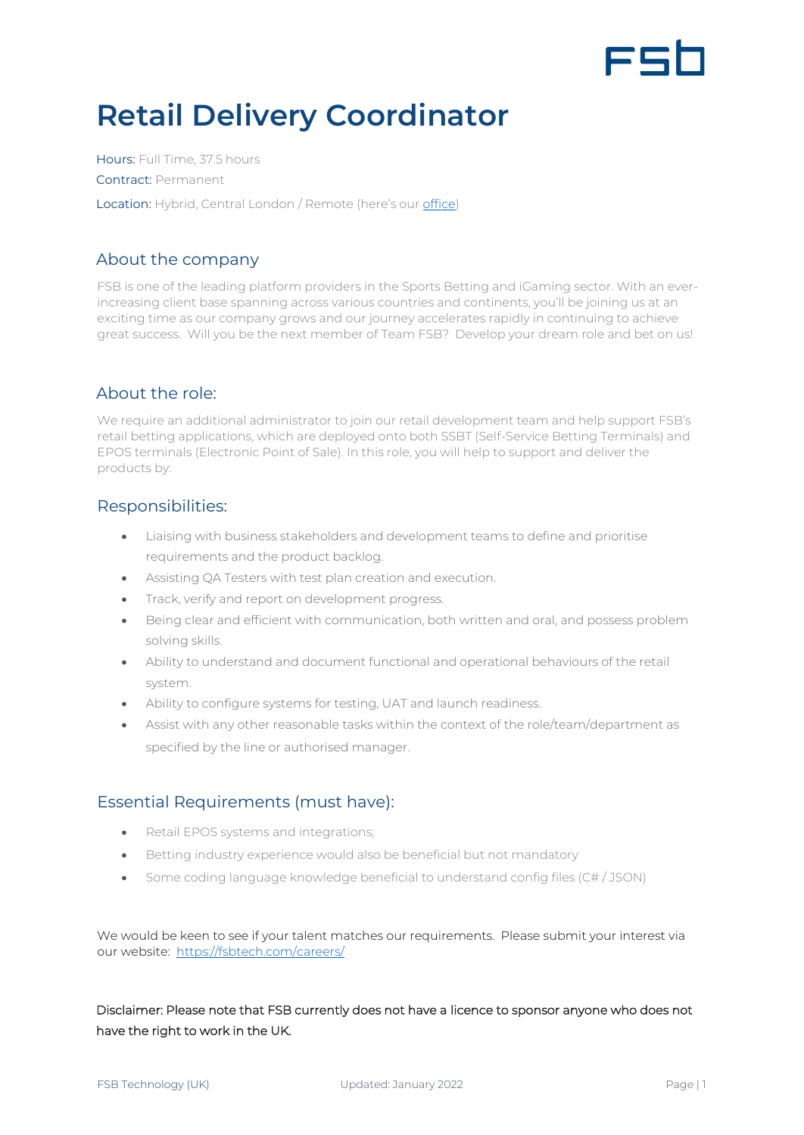

# **Retail Delivery Coordinator**

Hours: Full Time, 37.5 hours Contract: Permanent Location: Hybrid, Central London / Remote (here's our [office\)](https://www.google.com/maps/place/Moray+house,+London/@51.5175111,-0.1425708,17z/data=!3m1!4b1!4m5!3m4!1s0x48761b2a8799d3e9:0xbc30e69c4f00c44f!8m2!3d51.5175111!4d-0.1403821)

# About the company

FSB is one of the leading platform providers in the Sports Betting and iGaming sector. With an everincreasing client base spanning across various countries and continents, you'll be joining us at an exciting time as our company grows and our journey accelerates rapidly in continuing to achieve great success. Will you be the next member of Team FSB? Develop your dream role and bet on us!

# About the role:

We require an additional administrator to join our retail development team and help support FSB's retail betting applications, which are deployed onto both SSBT (Self-Service Betting Terminals) and EPOS terminals (Electronic Point of Sale). In this role, you will help to support and deliver the products by:

# Responsibilities:

- Liaising with business stakeholders and development teams to define and prioritise requirements and the product backlog.
- Assisting QA Testers with test plan creation and execution.
- Track, verify and report on development progress.
- Being clear and efficient with communication, both written and oral, and possess problem solving skills.
- Ability to understand and document functional and operational behaviours of the retail system.
- Ability to configure systems for testing, UAT and launch readiness.
- Assist with any other reasonable tasks within the context of the role/team/department as specified by the line or authorised manager.

# Essential Requirements (must have):

- Retail EPOS systems and integrations;
- Betting industry experience would also be beneficial but not mandatory
- Some coding language knowledge beneficial to understand config files (C# / JSON)

We would be keen to see if your talent matches our requirements. Please submit your interest via our website:<https://fsbtech.com/careers/>

Disclaimer: Please note that FSB currently does not have a licence to sponsor anyone who does not have the right to work in the UK.